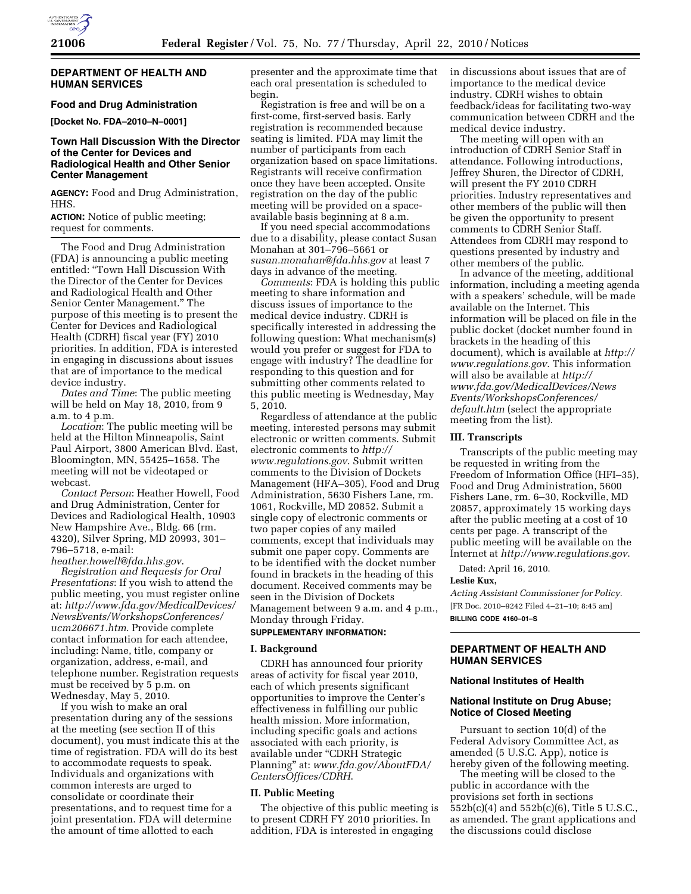

# **DEPARTMENT OF HEALTH AND HUMAN SERVICES**

# **Food and Drug Administration**

**[Docket No. FDA–2010–N–0001]** 

# **Town Hall Discussion With the Director of the Center for Devices and Radiological Health and Other Senior Center Management**

**AGENCY:** Food and Drug Administration, HHS.

**ACTION:** Notice of public meeting; request for comments.

The Food and Drug Administration (FDA) is announcing a public meeting entitled: ''Town Hall Discussion With the Director of the Center for Devices and Radiological Health and Other Senior Center Management.'' The purpose of this meeting is to present the Center for Devices and Radiological Health (CDRH) fiscal year (FY) 2010 priorities. In addition, FDA is interested in engaging in discussions about issues that are of importance to the medical device industry.

*Dates and Time*: The public meeting will be held on May 18, 2010, from 9 a.m. to 4 p.m.

*Location*: The public meeting will be held at the Hilton Minneapolis, Saint Paul Airport, 3800 American Blvd. East, Bloomington, MN, 55425–1658. The meeting will not be videotaped or webcast.

*Contact Person*: Heather Howell, Food and Drug Administration, Center for Devices and Radiological Health, 10903 New Hampshire Ave., Bldg. 66 (rm. 4320), Silver Spring, MD 20993, 301– 796–5718, e-mail:

*heather.howell@fda.hhs.gov*. *Registration and Requests for Oral Presentations*: If you wish to attend the public meeting, you must register online at: *http://www.fda.gov/MedicalDevices/ NewsEvents/WorkshopsConferences/ ucm206671.htm*. Provide complete contact information for each attendee, including: Name, title, company or organization, address, e-mail, and telephone number. Registration requests must be received by 5 p.m. on Wednesday, May 5, 2010.

If you wish to make an oral presentation during any of the sessions at the meeting (see section II of this document), you must indicate this at the time of registration. FDA will do its best to accommodate requests to speak. Individuals and organizations with common interests are urged to consolidate or coordinate their presentations, and to request time for a joint presentation. FDA will determine the amount of time allotted to each

presenter and the approximate time that each oral presentation is scheduled to begin.

Registration is free and will be on a first-come, first-served basis. Early registration is recommended because seating is limited. FDA may limit the number of participants from each organization based on space limitations. Registrants will receive confirmation once they have been accepted. Onsite registration on the day of the public meeting will be provided on a spaceavailable basis beginning at 8 a.m.

If you need special accommodations due to a disability, please contact Susan Monahan at 301–796–5661 or *susan.monahan@fda.hhs.gov* at least 7 days in advance of the meeting.

*Comments*: FDA is holding this public meeting to share information and discuss issues of importance to the medical device industry. CDRH is specifically interested in addressing the following question: What mechanism(s) would you prefer or suggest for FDA to engage with industry? The deadline for responding to this question and for submitting other comments related to this public meeting is Wednesday, May 5, 2010.

Regardless of attendance at the public meeting, interested persons may submit electronic or written comments. Submit electronic comments to *http:// www.regulations.gov*. Submit written comments to the Division of Dockets Management (HFA–305), Food and Drug Administration, 5630 Fishers Lane, rm. 1061, Rockville, MD 20852. Submit a single copy of electronic comments or two paper copies of any mailed comments, except that individuals may submit one paper copy. Comments are to be identified with the docket number found in brackets in the heading of this document. Received comments may be seen in the Division of Dockets Management between 9 a.m. and 4 p.m., Monday through Friday.

# **SUPPLEMENTARY INFORMATION:**

#### **I. Background**

CDRH has announced four priority areas of activity for fiscal year 2010, each of which presents significant opportunities to improve the Center's effectiveness in fulfilling our public health mission. More information, including specific goals and actions associated with each priority, is available under ''CDRH Strategic Planning'' at: *www.fda.gov/AboutFDA/ CentersOffices/CDRH*.

## **II. Public Meeting**

The objective of this public meeting is to present CDRH FY 2010 priorities. In addition, FDA is interested in engaging

in discussions about issues that are of importance to the medical device industry. CDRH wishes to obtain feedback/ideas for facilitating two-way communication between CDRH and the medical device industry.

The meeting will open with an introduction of CDRH Senior Staff in attendance. Following introductions, Jeffrey Shuren, the Director of CDRH, will present the FY 2010 CDRH priorities. Industry representatives and other members of the public will then be given the opportunity to present comments to CDRH Senior Staff. Attendees from CDRH may respond to questions presented by industry and other members of the public.

In advance of the meeting, additional information, including a meeting agenda with a speakers' schedule, will be made available on the Internet. This information will be placed on file in the public docket (docket number found in brackets in the heading of this document), which is available at *http:// www.regulations.gov*. This information will also be available at *http:// www.fda.gov/MedicalDevices/News Events/WorkshopsConferences/ default.htm* (select the appropriate meeting from the list).

#### **III. Transcripts**

Transcripts of the public meeting may be requested in writing from the Freedom of Information Office (HFI–35), Food and Drug Administration, 5600 Fishers Lane, rm. 6–30, Rockville, MD 20857, approximately 15 working days after the public meeting at a cost of 10 cents per page. A transcript of the public meeting will be available on the Internet at *http://www.regulations.gov*.

Dated: April 16, 2010.

### **Leslie Kux,**

*Acting Assistant Commissioner for Policy.*  [FR Doc. 2010–9242 Filed 4–21–10; 8:45 am] **BILLING CODE 4160–01–S** 

# **DEPARTMENT OF HEALTH AND HUMAN SERVICES**

### **National Institutes of Health**

## **National Institute on Drug Abuse; Notice of Closed Meeting**

Pursuant to section 10(d) of the Federal Advisory Committee Act, as amended (5 U.S.C. App), notice is hereby given of the following meeting.

The meeting will be closed to the public in accordance with the provisions set forth in sections 552b(c)(4) and 552b(c)(6), Title 5 U.S.C., as amended. The grant applications and the discussions could disclose